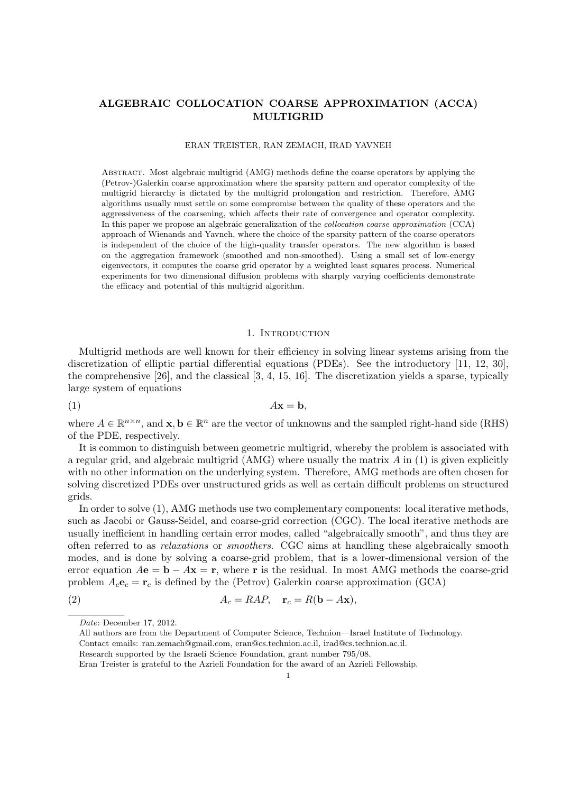## **ALGEBRAIC COLLOCATION COARSE APPROXIMATION (ACCA) MULTIGRID**

#### ERAN TREISTER, RAN ZEMACH, IRAD YAVNEH

Abstract. Most algebraic multigrid (AMG) methods define the coarse operators by applying the (Petrov-)Galerkin coarse approximation where the sparsity pattern and operator complexity of the multigrid hierarchy is dictated by the multigrid prolongation and restriction. Therefore, AMG algorithms usually must settle on some compromise between the quality of these operators and the aggressiveness of the coarsening, which affects their rate of convergence and operator complexity. In this paper we propose an algebraic generalization of the *collocation coarse approximation* (CCA) approach of Wienands and Yavneh, where the choice of the sparsity pattern of the coarse operators is independent of the choice of the high-quality transfer operators. The new algorithm is based on the aggregation framework (smoothed and non-smoothed). Using a small set of low-energy eigenvectors, it computes the coarse grid operator by a weighted least squares process. Numerical experiments for two dimensional diffusion problems with sharply varying coefficients demonstrate the efficacy and potential of this multigrid algorithm.

#### 1. INTRODUCTION

Multigrid methods are well known for their efficiency in solving linear systems arising from the discretization of elliptic partial differential equations (PDEs). See the introductory [11, 12, 30], the comprehensive [26], and the classical [3, 4, 15, 16]. The discretization yields a sparse, typically large system of equations

$$
(1) \t\t\t Ax = b,
$$

where  $A \in \mathbb{R}^{n \times n}$ , and  $\mathbf{x}, \mathbf{b} \in \mathbb{R}^n$  are the vector of unknowns and the sampled right-hand side (RHS) of the PDE, respectively.

It is common to distinguish between geometric multigrid, whereby the problem is associated with a regular grid, and algebraic multigrid (AMG) where usually the matrix *A* in (1) is given explicitly with no other information on the underlying system. Therefore, AMG methods are often chosen for solving discretized PDEs over unstructured grids as well as certain difficult problems on structured grids.

In order to solve (1), AMG methods use two complementary components: local iterative methods, such as Jacobi or Gauss-Seidel, and coarse-grid correction (CGC). The local iterative methods are usually inefficient in handling certain error modes, called "algebraically smooth", and thus they are often referred to as *relaxations* or *smoothers*. CGC aims at handling these algebraically smooth modes, and is done by solving a coarse-grid problem, that is a lower-dimensional version of the error equation  $A\mathbf{e} = \mathbf{b} - A\mathbf{x} = \mathbf{r}$ , where **r** is the residual. In most AMG methods the coarse-grid problem  $A_c \mathbf{e}_c = \mathbf{r}_c$  is defined by the (Petrov) Galerkin coarse approximation (GCA)

$$
(2) \t\t\t A_c = RAP, \t\mathbf{r}_c = R(\mathbf{b} - A\mathbf{x}),
$$

*Date*: December 17, 2012.

All authors are from the Department of Computer Science, Technion—Israel Institute of Technology.

Contact emails: ran.zemach@gmail.com, eran@cs.technion.ac.il, irad@cs.technion.ac.il.

Research supported by the Israeli Science Foundation, grant number 795/08.

Eran Treister is grateful to the Azrieli Foundation for the award of an Azrieli Fellowship.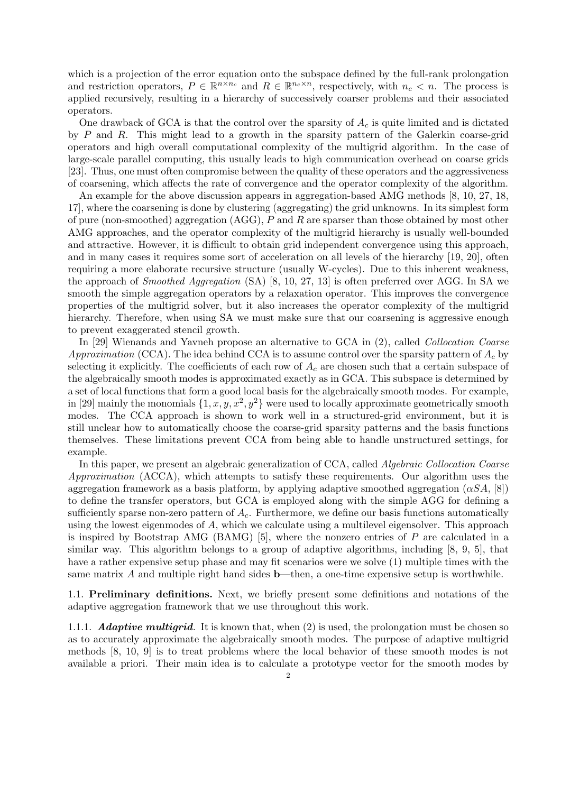which is a projection of the error equation onto the subspace defined by the full-rank prolongation and restriction operators,  $P \in \mathbb{R}^{n \times n_c}$  and  $R \in \mathbb{R}^{n_c \times n}$ , respectively, with  $n_c < n$ . The process is applied recursively, resulting in a hierarchy of successively coarser problems and their associated operators.

One drawback of GCA is that the control over the sparsity of *A<sup>c</sup>* is quite limited and is dictated by *P* and *R*. This might lead to a growth in the sparsity pattern of the Galerkin coarse-grid operators and high overall computational complexity of the multigrid algorithm. In the case of large-scale parallel computing, this usually leads to high communication overhead on coarse grids [23]. Thus, one must often compromise between the quality of these operators and the aggressiveness of coarsening, which affects the rate of convergence and the operator complexity of the algorithm.

An example for the above discussion appears in aggregation-based AMG methods [8, 10, 27, 18, 17], where the coarsening is done by clustering (aggregating) the grid unknowns. In its simplest form of pure (non-smoothed) aggregation (AGG), *P* and *R* are sparser than those obtained by most other AMG approaches, and the operator complexity of the multigrid hierarchy is usually well-bounded and attractive. However, it is difficult to obtain grid independent convergence using this approach, and in many cases it requires some sort of acceleration on all levels of the hierarchy [19, 20], often requiring a more elaborate recursive structure (usually W-cycles). Due to this inherent weakness, the approach of *Smoothed Aggregation* (SA) [8, 10, 27, 13] is often preferred over AGG. In SA we smooth the simple aggregation operators by a relaxation operator. This improves the convergence properties of the multigrid solver, but it also increases the operator complexity of the multigrid hierarchy. Therefore, when using SA we must make sure that our coarsening is aggressive enough to prevent exaggerated stencil growth.

In [29] Wienands and Yavneh propose an alternative to GCA in (2), called *Collocation Coarse Approximation* (CCA). The idea behind CCA is to assume control over the sparsity pattern of *A<sup>c</sup>* by selecting it explicitly. The coefficients of each row of *A<sup>c</sup>* are chosen such that a certain subspace of the algebraically smooth modes is approximated exactly as in GCA. This subspace is determined by a set of local functions that form a good local basis for the algebraically smooth modes. For example, in [29] mainly the monomials  $\{1, x, y, x^2, y^2\}$  were used to locally approximate geometrically smooth modes. The CCA approach is shown to work well in a structured-grid environment, but it is still unclear how to automatically choose the coarse-grid sparsity patterns and the basis functions themselves. These limitations prevent CCA from being able to handle unstructured settings, for example.

In this paper, we present an algebraic generalization of CCA, called *Algebraic Collocation Coarse Approximation* (ACCA), which attempts to satisfy these requirements. Our algorithm uses the aggregation framework as a basis platform, by applying adaptive smoothed aggregation  $(\alpha SA, [8])$ to define the transfer operators, but GCA is employed along with the simple AGG for defining a sufficiently sparse non-zero pattern of *Ac*. Furthermore, we define our basis functions automatically using the lowest eigenmodes of *A*, which we calculate using a multilevel eigensolver. This approach is inspired by Bootstrap AMG (BAMG) [5], where the nonzero entries of *P* are calculated in a similar way. This algorithm belongs to a group of adaptive algorithms, including [8, 9, 5], that have a rather expensive setup phase and may fit scenarios were we solve (1) multiple times with the same matrix  $A$  and multiple right hand sides  $b$ —then, a one-time expensive setup is worthwhile.

1.1. **Preliminary definitions.** Next, we briefly present some definitions and notations of the adaptive aggregation framework that we use throughout this work.

1.1.1. *Adaptive multigrid.* It is known that, when (2) is used, the prolongation must be chosen so as to accurately approximate the algebraically smooth modes. The purpose of adaptive multigrid methods [8, 10, 9] is to treat problems where the local behavior of these smooth modes is not available a priori. Their main idea is to calculate a prototype vector for the smooth modes by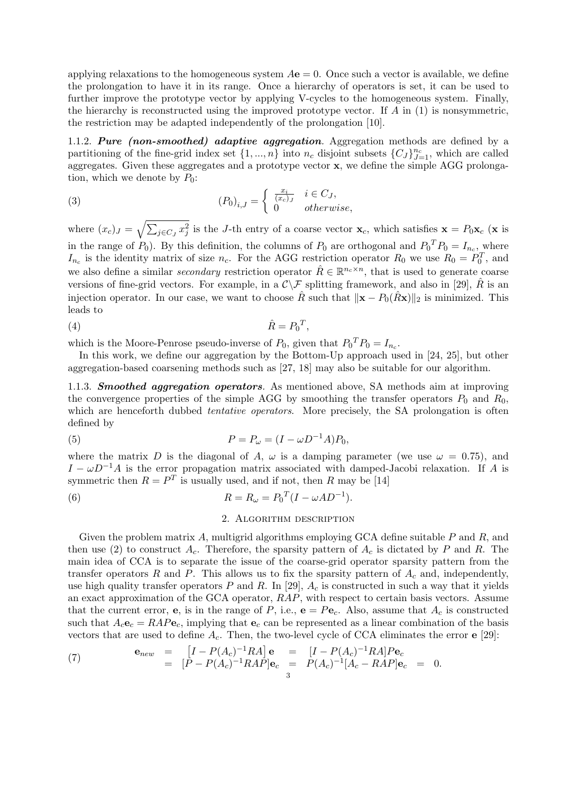applying relaxations to the homogeneous system  $A\mathbf{e} = 0$ . Once such a vector is available, we define the prolongation to have it in its range. Once a hierarchy of operators is set, it can be used to further improve the prototype vector by applying V-cycles to the homogeneous system. Finally, the hierarchy is reconstructed using the improved prototype vector. If *A* in (1) is nonsymmetric, the restriction may be adapted independently of the prolongation [10].

1.1.2. *Pure (non-smoothed) adaptive aggregation.* Aggregation methods are defined by a partitioning of the fine-grid index set  $\{1, ..., n\}$  into  $n_c$  disjoint subsets  $\{C_J\}_{J=1}^{n_c}$ , which are called aggregates. Given these aggregates and a prototype vector **x**, we define the simple AGG prolongation, which we denote by  $P_0$ :

(3) 
$$
(P_0)_{i,J} = \begin{cases} \frac{x_i}{(x_c)_J} & i \in C_J, \\ 0 & otherwise, \end{cases}
$$

where  $(x_c)_J = \sqrt{\sum_{j \in C_J} x_j^2}$  is the *J*-th entry of a coarse vector  $\mathbf{x}_c$ , which satisfies  $\mathbf{x} = P_0 \mathbf{x}_c$  (**x** is in the range of  $P_0$ ). By this definition, the columns of  $P_0$  are orthogonal and  $P_0^T P_0 = I_{n_c}$ , where  $I_{n_c}$  is the identity matrix of size  $n_c$ . For the AGG restriction operator  $R_0$  we use  $R_0 = P_0^T$ , and we also define a similar *secondary* restriction operator  $\hat{R} \in \mathbb{R}^{n_c \times n}$ , that is used to generate coarse versions of fine-grid vectors. For example, in a  $\mathcal{C}\setminus\mathcal{F}$  splitting framework, and also in [29],  $\hat{R}$  is an injection operator. In our case, we want to choose  $\hat{R}$  such that  $\|\mathbf{x} - P_0(\hat{R}\mathbf{x})\|_2$  is minimized. This leads to

$$
\hat{R} = P_0^T,
$$

which is the Moore-Penrose pseudo-inverse of  $P_0$ , given that  $P_0^T P_0 = I_{n_c}$ .

In this work, we define our aggregation by the Bottom-Up approach used in [24, 25], but other aggregation-based coarsening methods such as [27, 18] may also be suitable for our algorithm.

1.1.3. *Smoothed aggregation operators.* As mentioned above, SA methods aim at improving the convergence properties of the simple AGG by smoothing the transfer operators  $P_0$  and  $R_0$ , which are henceforth dubbed *tentative operators*. More precisely, the SA prolongation is often defined by

(5) 
$$
P = P_{\omega} = (I - \omega D^{-1} A) P_0,
$$

where the matrix *D* is the diagonal of *A*,  $\omega$  is a damping parameter (we use  $\omega = 0.75$ ), and  $I - \omega D^{-1}A$  is the error propagation matrix associated with damped-Jacobi relaxation. If *A* is symmetric then  $R = P^T$  is usually used, and if not, then *R* may be [14]

(6) 
$$
R = R_{\omega} = P_0^T (I - \omega A D^{-1}).
$$

### 2. Algorithm description

Given the problem matrix *A*, multigrid algorithms employing GCA define suitable *P* and *R*, and then use (2) to construct  $A_c$ . Therefore, the sparsity pattern of  $A_c$  is dictated by *P* and *R*. The main idea of CCA is to separate the issue of the coarse-grid operator sparsity pattern from the transfer operators  $R$  and  $P$ . This allows us to fix the sparsity pattern of  $A_c$  and, independently, use high quality transfer operators  $P$  and  $R$ . In [29],  $A_c$  is constructed in such a way that it yields an exact approximation of the GCA operator, *RAP*, with respect to certain basis vectors. Assume that the current error, **e**, is in the range of *P*, i.e.,  $\mathbf{e} = P\mathbf{e}_c$ . Also, assume that  $A_c$  is constructed such that  $A_c \mathbf{e}_c = RAP \mathbf{e}_c$ , implying that  $\mathbf{e}_c$  can be represented as a linear combination of the basis vectors that are used to define *Ac*. Then, the two-level cycle of CCA eliminates the error **e** [29]:

(7) 
$$
\mathbf{e}_{new} = [I - P(A_c)^{-1}RA] \mathbf{e} = [I - P(A_c)^{-1}RA]P \mathbf{e}_c \n= [P - P(A_c)^{-1}RAP] \mathbf{e}_c = P(A_c)^{-1}[A_c - RAP] \mathbf{e}_c = 0.
$$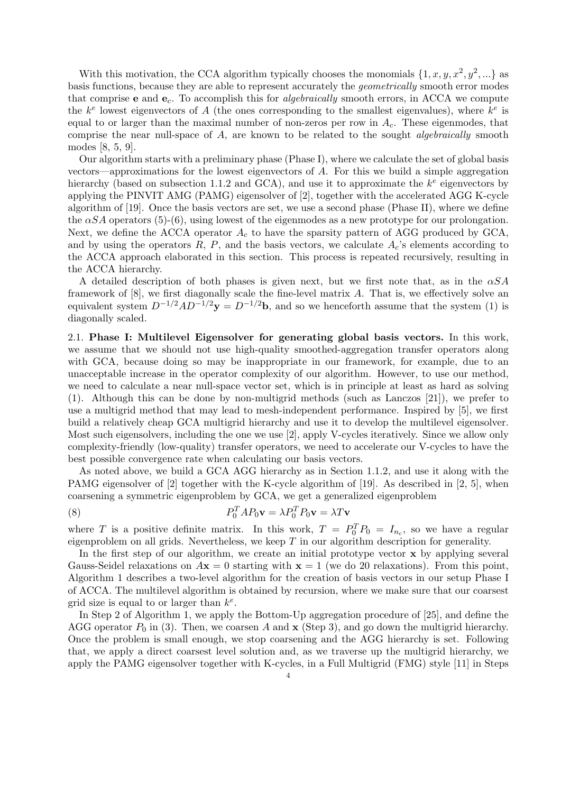With this motivation, the CCA algorithm typically chooses the monomials  $\{1, x, y, x^2, y^2, ...\}$  as basis functions, because they are able to represent accurately the *geometrically* smooth error modes that comprise **e** and **e***c*. To accomplish this for *algebraically* smooth errors, in ACCA we compute the  $k^e$  lowest eigenvectors of *A* (the ones corresponding to the smallest eigenvalues), where  $k^e$  is equal to or larger than the maximal number of non-zeros per row in *Ac*. These eigenmodes, that comprise the near null-space of *A*, are known to be related to the sought *algebraically* smooth modes [8, 5, 9].

Our algorithm starts with a preliminary phase (Phase I), where we calculate the set of global basis vectors—approximations for the lowest eigenvectors of *A*. For this we build a simple aggregation hierarchy (based on subsection 1.1.2 and GCA), and use it to approximate the  $k^e$  eigenvectors by applying the PINVIT AMG (PAMG) eigensolver of [2], together with the accelerated AGG K-cycle algorithm of [19]. Once the basis vectors are set, we use a second phase (Phase II), where we define the  $\alpha SA$  operators (5)-(6), using lowest of the eigenmodes as a new prototype for our prolongation. Next, we define the ACCA operator  $A_c$  to have the sparsity pattern of AGG produced by GCA, and by using the operators  $R$ ,  $P$ , and the basis vectors, we calculate  $A<sub>c</sub>$ 's elements according to the ACCA approach elaborated in this section. This process is repeated recursively, resulting in the ACCA hierarchy.

A detailed description of both phases is given next, but we first note that, as in the *αSA* framework of [8], we first diagonally scale the fine-level matrix *A*. That is, we effectively solve an equivalent system  $D^{-1/2}AD^{-1/2}y = D^{-1/2}b$ , and so we henceforth assume that the system (1) is diagonally scaled.

2.1. **Phase I: Multilevel Eigensolver for generating global basis vectors.** In this work, we assume that we should not use high-quality smoothed-aggregation transfer operators along with GCA, because doing so may be inappropriate in our framework, for example, due to an unacceptable increase in the operator complexity of our algorithm. However, to use our method, we need to calculate a near null-space vector set, which is in principle at least as hard as solving (1). Although this can be done by non-multigrid methods (such as Lanczos [21]), we prefer to use a multigrid method that may lead to mesh-independent performance. Inspired by [5], we first build a relatively cheap GCA multigrid hierarchy and use it to develop the multilevel eigensolver. Most such eigensolvers, including the one we use [2], apply V-cycles iteratively. Since we allow only complexity-friendly (low-quality) transfer operators, we need to accelerate our V-cycles to have the best possible convergence rate when calculating our basis vectors.

As noted above, we build a GCA AGG hierarchy as in Section 1.1.2, and use it along with the PAMG eigensolver of [2] together with the K-cycle algorithm of [19]. As described in [2, 5], when coarsening a symmetric eigenproblem by GCA, we get a generalized eigenproblem

(8) 
$$
P_0^T A P_0 \mathbf{v} = \lambda P_0^T P_0 \mathbf{v} = \lambda T \mathbf{v}
$$

where *T* is a positive definite matrix. In this work,  $T = P_0^T P_0 = I_{n_c}$ , so we have a regular eigenproblem on all grids. Nevertheless, we keep *T* in our algorithm description for generality.

In the first step of our algorithm, we create an initial prototype vector **x** by applying several Gauss-Seidel relaxations on  $A$ **x** = 0 starting with **x** = 1 (we do 20 relaxations). From this point, Algorithm 1 describes a two-level algorithm for the creation of basis vectors in our setup Phase I of ACCA. The multilevel algorithm is obtained by recursion, where we make sure that our coarsest grid size is equal to or larger than *k e* .

In Step 2 of Algorithm 1, we apply the Bottom-Up aggregation procedure of [25], and define the AGG operator  $P_0$  in (3). Then, we coarsen A and **x** (Step 3), and go down the multigrid hierarchy. Once the problem is small enough, we stop coarsening and the AGG hierarchy is set. Following that, we apply a direct coarsest level solution and, as we traverse up the multigrid hierarchy, we apply the PAMG eigensolver together with K-cycles, in a Full Multigrid (FMG) style [11] in Steps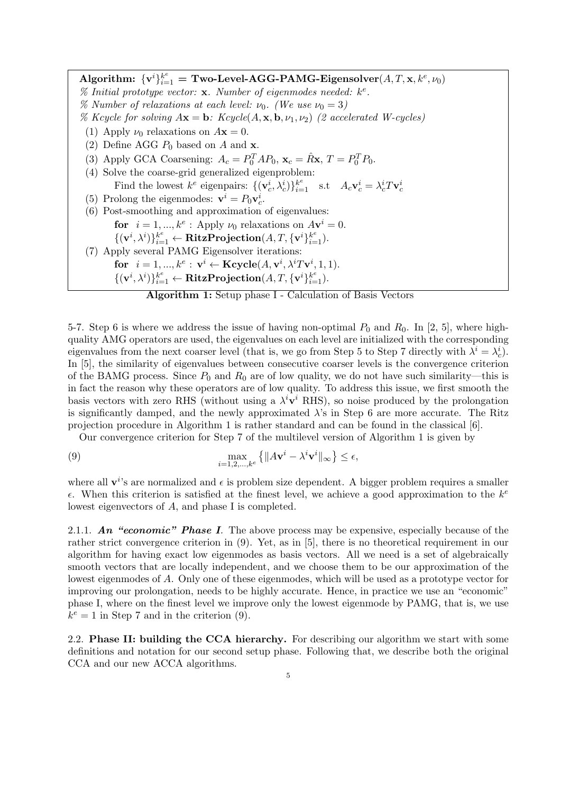$\textbf{Algorithm:} \ \{ \mathbf{v}^i \}_{i=1}^k = \textbf{Two-Level-AGG-PAMG-Eigensolver}(A,T,\mathbf{x},k^e,\nu_0)$ *% Initial prototype vector:* **x***. Number of eigenmodes needed: k e . %* Number of relaxations at each level:  $\nu_0$ . (We use  $\nu_0 = 3$ ) *% Kcycle for solving*  $A\mathbf{x} = \mathbf{b}$ *: Kcycle*( $A, \mathbf{x}, \mathbf{b}, \nu_1, \nu_2$ ) (2 accelerated W-cycles) (1) Apply  $\nu_0$  relaxations on  $A\mathbf{x} = 0$ . (2) Define AGG  $P_0$  based on  $A$  and  $\mathbf{x}$ . (3) Apply GCA Coarsening:  $A_c = P_0^T A P_0$ ,  $\mathbf{x}_c = \hat{R} \mathbf{x}, T = P_0^T P_0$ . (4) Solve the coarse-grid generalized eigenproblem: Find the lowest  $k^e$  eigenpairs:  $\{(\mathbf{v}_c^i, \lambda_c^i)\}_{i=1}^{k^e}$  s.t  $A_c \mathbf{v}_c^i = \lambda_c^i T \mathbf{v}_c^i$ (5) Prolong the eigenmodes:  $\mathbf{v}^i = P_0 \mathbf{v}_c^i$ . (6) Post-smoothing and approximation of eigenvalues: **for**  $i = 1, ..., k^e$ : Apply  $\nu_0$  relaxations on  $A$ **v**<sup> $i$ </sup> = 0.  $\{(\mathbf{v}^i, \lambda^i)\}_{i=1}^k \leftarrow \textbf{RitzProjection}(A, T, \{\mathbf{v}^i\}_{i=1}^k).$ (7) Apply several PAMG Eigensolver iterations: **for**  $i = 1, ..., k^e : \mathbf{v}^i \leftarrow \textbf{Kcycle}(A, \mathbf{v}^i, \lambda^i T \mathbf{v}^i, 1, 1).$  $\{(\mathbf{v}^i, \lambda^i)\}_{i=1}^k \leftarrow \textbf{RitzProjection}(A, T, \{\mathbf{v}^i\}_{i=1}^k).$ 

**Algorithm 1:** Setup phase I - Calculation of Basis Vectors

5-7. Step 6 is where we address the issue of having non-optimal  $P_0$  and  $R_0$ . In [2, 5], where highquality AMG operators are used, the eigenvalues on each level are initialized with the corresponding eigenvalues from the next coarser level (that is, we go from Step 5 to Step 7 directly with  $\lambda^i = \lambda_c^i$ ). In [5], the similarity of eigenvalues between consecutive coarser levels is the convergence criterion of the BAMG process. Since  $P_0$  and  $R_0$  are of low quality, we do not have such similarity—this is in fact the reason why these operators are of low quality. To address this issue, we first smooth the basis vectors with zero RHS (without using a  $\lambda^i \mathbf{v}^i$  RHS), so noise produced by the prolongation is significantly damped, and the newly approximated  $\lambda$ 's in Step 6 are more accurate. The Ritz projection procedure in Algorithm 1 is rather standard and can be found in the classical [6].

Our convergence criterion for Step 7 of the multilevel version of Algorithm 1 is given by

(9) 
$$
\max_{i=1,2,\dots,k^e} \left\{ \|A\mathbf{v}^i - \lambda^i \mathbf{v}^i\|_{\infty} \right\} \leq \epsilon,
$$

where all  $\mathbf{v}^i$ 's are normalized and  $\epsilon$  is problem size dependent. A bigger problem requires a smaller  $\epsilon$ . When this criterion is satisfied at the finest level, we achieve a good approximation to the  $k^e$ lowest eigenvectors of *A*, and phase I is completed.

2.1.1. *An "economic" Phase I.* The above process may be expensive, especially because of the rather strict convergence criterion in (9). Yet, as in [5], there is no theoretical requirement in our algorithm for having exact low eigenmodes as basis vectors. All we need is a set of algebraically smooth vectors that are locally independent, and we choose them to be our approximation of the lowest eigenmodes of *A*. Only one of these eigenmodes, which will be used as a prototype vector for improving our prolongation, needs to be highly accurate. Hence, in practice we use an "economic" phase I, where on the finest level we improve only the lowest eigenmode by PAMG, that is, we use  $k^e = 1$  in Step 7 and in the criterion (9).

2.2. **Phase II: building the CCA hierarchy.** For describing our algorithm we start with some definitions and notation for our second setup phase. Following that, we describe both the original CCA and our new ACCA algorithms.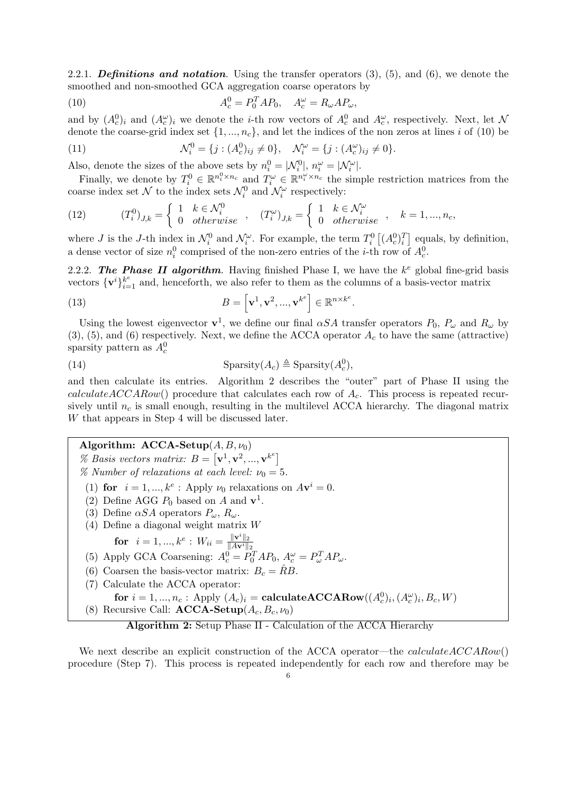2.2.1. *Definitions and notation.* Using the transfer operators (3), (5), and (6), we denote the smoothed and non-smoothed GCA aggregation coarse operators by

(10) 
$$
A_c^0 = P_0^T A P_0, \quad A_c^\omega = R_\omega A P_\omega,
$$

and by  $(A_c^0)_i$  and  $(A_c^{\omega})_i$  we denote the *i*-th row vectors of  $A_c^0$  and  $A_c^{\omega}$ , respectively. Next, let  $\mathcal N$ denote the coarse-grid index set  $\{1, ..., n_c\}$ , and let the indices of the non zeros at lines *i* of (10) be

(11) 
$$
\mathcal{N}_i^0 = \{j : (A_c^0)_{ij} \neq 0\}, \quad \mathcal{N}_i^\omega = \{j : (A_c^\omega)_{ij} \neq 0\}.
$$

Also, denote the sizes of the above sets by  $n_i^0 = |\mathcal{N}_i^0|, n_i^{\omega} = |\mathcal{N}_i^{\omega}|.$ 

Finally, we denote by  $T_i^0 \in \mathbb{R}^{n_i^0 \times n_c}$  and  $T_i^{\omega} \in \mathbb{R}^{n_i^{\omega} \times n_c}$  the simple restriction matrices from the coarse index set  $\mathcal{N}$  to the index sets  $\mathcal{N}_i^0$  and  $\mathcal{N}_i^{\omega}$  respectively:

(12) 
$$
(T_i^0)_{J,k} = \begin{cases} 1 & k \in \mathcal{N}_i^0 \\ 0 & otherwise \end{cases}, \quad (T_i^{\omega})_{J,k} = \begin{cases} 1 & k \in \mathcal{N}_i^{\omega} \\ 0 & otherwise \end{cases}, \quad k = 1, ..., n_c,
$$

where *J* is the *J*-th index in  $\mathcal{N}_i^0$  and  $\mathcal{N}_i^{\omega}$ . For example, the term  $T_i^0$   $[(A_c^0)_i^T]$  equals, by definition, a dense vector of size  $n_i^0$  comprised of the non-zero entries of the *i*-th row of  $A_c^0$ .

2.2.2. The Phase II algorithm. Having finished Phase I, we have the  $k^e$  global fine-grid basis vectors  $\{v^i\}_{i=1}^k$  and, henceforth, we also refer to them as the columns of a basis-vector matrix

(13) 
$$
B = \left[\mathbf{v}^1, \mathbf{v}^2, ..., \mathbf{v}^{k^e}\right] \in \mathbb{R}^{n \times k^e}.
$$

Using the lowest eigenvector  $\mathbf{v}^1$ , we define our final  $\alpha SA$  transfer operators  $P_0$ ,  $P_\omega$  and  $R_\omega$  by  $(3)$ ,  $(5)$ , and  $(6)$  respectively. Next, we define the ACCA operator  $A<sub>c</sub>$  to have the same (attractive) sparsity pattern as  $A_c^0$ 

(14) 
$$
\text{Sparsity}(A_c) \triangleq \text{Sparsity}(A_c^0),
$$

and then calculate its entries. Algorithm 2 describes the "outer" part of Phase II using the *calculateACCARow*() procedure that calculates each row of *Ac*. This process is repeated recursively until *n<sup>c</sup>* is small enough, resulting in the multilevel ACCA hierarchy. The diagonal matrix *W* that appears in Step 4 will be discussed later.

# **Algorithm: ACCA-Setup**(*A, B, ν*0)

- % Basis vectors matrix:  $B = [\mathbf{v}^1, \mathbf{v}^2, ..., \mathbf{v}^k]^T$ *%* Number of relaxations at each level:  $\nu_0 = 5$ .
- (1) **for**  $i = 1, ..., k^e$ : Apply  $\nu_0$  relaxations on  $A\mathbf{v}^i = 0$ .
- (2) Define AGG  $P_0$  based on  $A$  and  $\mathbf{v}^1$ .
- (3) Define  $\alpha SA$  operators  $P_\omega$ ,  $R_\omega$ .
- (4) Define a diagonal weight matrix *W*

**for** 
$$
i = 1, ..., k^e : W_{ii} = \frac{\|\mathbf{v}^i\|_2}{\|A\mathbf{v}^i\|_2}
$$

- *∥A***v***i∥*<sup>2</sup> (5) Apply GCA Coarsening:  $A_c^0 = P_0^T A P_0$ ,  $A_c^{\omega} = P_{\omega}^T A P_{\omega}$ .
- (6) Coarsen the basis-vector matrix:  $B_c = \hat{R}B$ .
- (7) Calculate the ACCA operator:
- $\textbf{for } i = 1, ..., n_c: \text{ Apply } (A_c)_i = \textbf{calculateACCARow}((A_c^0)_i, (A_c^\omega)_i, B_c, W)$
- (8) Recursive Call:  $\text{ACCA-Setup}(A_c, B_c, \nu_0)$

# **Algorithm 2:** Setup Phase II - Calculation of the ACCA Hierarchy

We next describe an explicit construction of the ACCA operator—the *calculateACCARow*() procedure (Step 7). This process is repeated independently for each row and therefore may be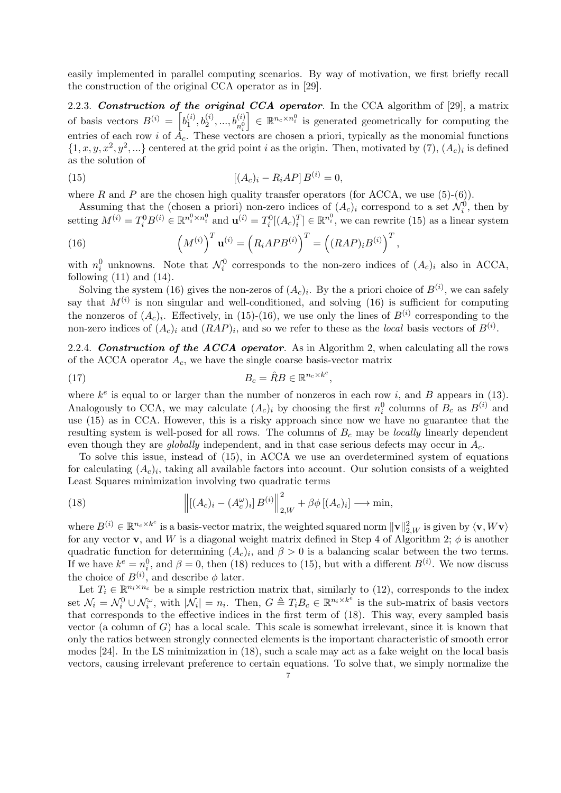easily implemented in parallel computing scenarios. By way of motivation, we first briefly recall the construction of the original CCA operator as in [29].

2.2.3. *Construction of the original CCA operator.* In the CCA algorithm of [29], a matrix of basis vectors  $B^{(i)} = \begin{bmatrix} b_1^{(i)} \end{bmatrix}$  $\left[\begin{array}{c} (i), b_2^{(i)}, ..., b_{n_2^{(i)}}^{(i)} \end{array}\right] \in \mathbb{R}^{n_c \times n_i^{0}}$  is generated geometrically for computing the entries of each row *i* of  $A_c$ . These vectors are chosen a priori, typically as the monomial functions  $\{1, x, y, x^2, y^2, ...\}$  centered at the grid point *i* as the origin. Then, motivated by (7),  $(A_c)_i$  is defined as the solution of

(15) 
$$
[(A_c)_i - R_i AP] B^{(i)} = 0,
$$

where *R* and *P* are the chosen high quality transfer operators (for ACCA, we use  $(5)-(6)$ ).

Assuming that the (chosen a priori) non-zero indices of  $(A_c)_i$  correspond to a set  $\mathcal{N}_i^0$ , then by setting  $M^{(i)} = T_i^0 B^{(i)} \in \mathbb{R}^{n_i^0 \times n_i^0}$  and  $\mathbf{u}^{(i)} = T_i^0 [(A_c)_i^T] \in \mathbb{R}^{n_i^0}$ , we can rewrite (15) as a linear system

(16) 
$$
\left(M^{(i)}\right)^T \mathbf{u}^{(i)} = \left(R_i A P B^{(i)}\right)^T = \left((R A P)_i B^{(i)}\right)^T,
$$

with  $n_i^0$  unknowns. Note that  $\mathcal{N}_i^0$  corresponds to the non-zero indices of  $(A_c)_i$  also in ACCA, following  $(11)$  and  $(14)$ .

Solving the system (16) gives the non-zeros of  $(A_c)_i$ . By the a priori choice of  $B^{(i)}$ , we can safely say that  $M^{(i)}$  is non singular and well-conditioned, and solving  $(16)$  is sufficient for computing the nonzeros of  $(A_c)_i$ . Effectively, in (15)-(16), we use only the lines of  $B^{(i)}$  corresponding to the non-zero indices of  $(A_c)_i$  and  $(RAP)_i$ , and so we refer to these as the *local* basis vectors of  $B^{(i)}$ .

2.2.4. *Construction of the ACCA operator.* As in Algorithm 2, when calculating all the rows of the ACCA operator *Ac*, we have the single coarse basis-vector matrix

(17) 
$$
B_c = \hat{R}B \in \mathbb{R}^{n_c \times k^e},
$$

where  $k^e$  is equal to or larger than the number of nonzeros in each row *i*, and *B* appears in (13). Analogously to CCA, we may calculate  $(A_c)_i$  by choosing the first  $n_i^0$  columns of  $B_c$  as  $B^{(i)}$  and use (15) as in CCA. However, this is a risky approach since now we have no guarantee that the resulting system is well-posed for all rows. The columns of *B<sup>c</sup>* may be *locally* linearly dependent even though they are *globally* independent, and in that case serious defects may occur in *Ac*.

To solve this issue, instead of (15), in ACCA we use an overdetermined system of equations for calculating  $(A_c)_i$ , taking all available factors into account. Our solution consists of a weighted Least Squares minimization involving two quadratic terms

(18) 
$$
\left\| \left[ (A_c)_i - (A_c^{\omega})_i \right] B^{(i)} \right\|_{2,W}^2 + \beta \phi \left[ (A_c)_i \right] \longrightarrow \min,
$$

where  $B^{(i)} \in \mathbb{R}^{n_c \times k^e}$  is a basis-vector matrix, the weighted squared norm  $\|\mathbf{v}\|_{2,W}^2$  is given by  $\langle \mathbf{v}, W\mathbf{v} \rangle$ for any vector **v**, and *W* is a diagonal weight matrix defined in Step 4 of Algorithm 2;  $\phi$  is another quadratic function for determining  $(A_c)_i$ , and  $\beta > 0$  is a balancing scalar between the two terms. If we have  $k^e = n_i^0$ , and  $\beta = 0$ , then (18) reduces to (15), but with a different  $B^{(i)}$ . We now discuss the choice of  $B^{(i)}$ , and describe  $\phi$  later.

Let  $T_i \in \mathbb{R}^{n_i \times n_c}$  be a simple restriction matrix that, similarly to (12), corresponds to the index set  $\mathcal{N}_i = \mathcal{N}_i^0 \cup \mathcal{N}_i^{\omega}$ , with  $|\mathcal{N}_i| = n_i$ . Then,  $G \triangleq T_i B_c \in \mathbb{R}^{n_i \times k^{\hat{e}}}$  is the sub-matrix of basis vectors that corresponds to the effective indices in the first term of (18). This way, every sampled basis vector (a column of *G*) has a local scale. This scale is somewhat irrelevant, since it is known that only the ratios between strongly connected elements is the important characteristic of smooth error modes [24]. In the LS minimization in (18), such a scale may act as a fake weight on the local basis vectors, causing irrelevant preference to certain equations. To solve that, we simply normalize the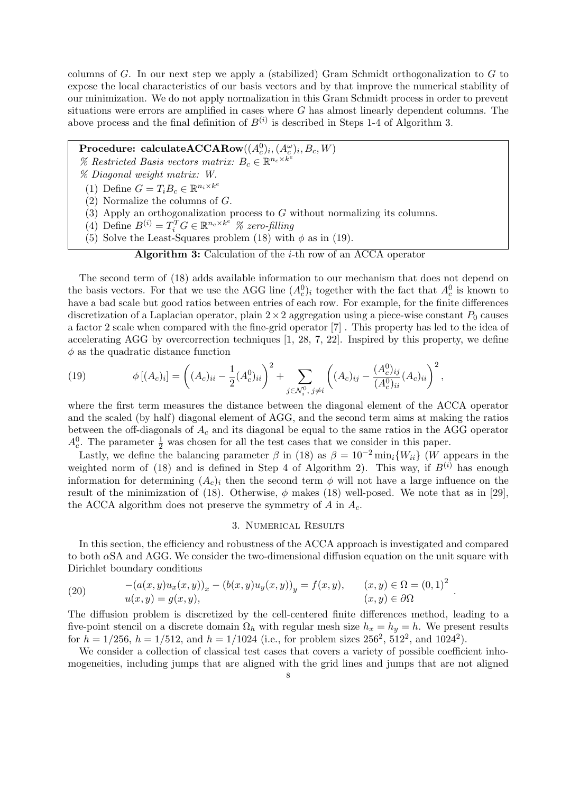columns of *G*. In our next step we apply a (stabilized) Gram Schmidt orthogonalization to *G* to expose the local characteristics of our basis vectors and by that improve the numerical stability of our minimization. We do not apply normalization in this Gram Schmidt process in order to prevent situations were errors are amplified in cases where *G* has almost linearly dependent columns. The above process and the final definition of  $B^{(i)}$  is described in Steps 1-4 of Algorithm 3.

 ${\bf Procedure: \; calculateACCARow}((A^0_c)_i, (A^{\omega}_c)_i, B_c, W)$ 

- *%* Restricted Basis vectors matrix:  $B_c \in \mathbb{R}^{n_c \times k^e}$
- *% Diagonal weight matrix: W.*
- (1) Define  $G = T_i B_c \in \mathbb{R}^{n_i \times k^e}$
- (2) Normalize the columns of *G*.
- (3) Apply an orthogonalization process to *G* without normalizing its columns.
- (4) Define  $B^{(i)} = T_i^T G \in \mathbb{R}^{n_c \times k^e}$  % zero-filling
- (5) Solve the Least-Squares problem (18) with  $\phi$  as in (19).

## **Algorithm 3:** Calculation of the *i*-th row of an ACCA operator

The second term of (18) adds available information to our mechanism that does not depend on the basis vectors. For that we use the AGG line  $(A_c^0)_i$  together with the fact that  $A_c^0$  is known to have a bad scale but good ratios between entries of each row. For example, for the finite differences discretization of a Laplacian operator, plain  $2 \times 2$  aggregation using a piece-wise constant  $P_0$  causes a factor 2 scale when compared with the fine-grid operator [7] . This property has led to the idea of accelerating AGG by overcorrection techniques [1, 28, 7, 22]. Inspired by this property, we define *ϕ* as the quadratic distance function

(19) 
$$
\phi [(A_c)_i] = \left( (A_c)_{ii} - \frac{1}{2} (A_c^0)_{ii} \right)^2 + \sum_{j \in \mathcal{N}_i^0, j \neq i} \left( (A_c)_{ij} - \frac{(A_c^0)_{ij}}{(A_c^0)_{ii}} (A_c)_{ii} \right)^2,
$$

where the first term measures the distance between the diagonal element of the ACCA operator and the scaled (by half) diagonal element of AGG, and the second term aims at making the ratios between the off-diagonals of *A<sup>c</sup>* and its diagonal be equal to the same ratios in the AGG operator  $A_c^0$ . The parameter  $\frac{1}{2}$  was chosen for all the test cases that we consider in this paper.

Lastly, we define the balancing parameter  $\beta$  in (18) as  $\beta = 10^{-2}$  min<sub>*i*</sub>{*W<sub>ii</sub>*} (*W* appears in the weighted norm of (18) and is defined in Step 4 of Algorithm 2). This way, if  $B^{(i)}$  has enough information for determining  $(A_c)_i$  then the second term  $\phi$  will not have a large influence on the result of the minimization of (18). Otherwise,  $\phi$  makes (18) well-posed. We note that as in [29], the ACCA algorithm does not preserve the symmetry of *A* in *Ac*.

#### 3. Numerical Results

In this section, the efficiency and robustness of the ACCA approach is investigated and compared to both *α*SA and AGG. We consider the two-dimensional diffusion equation on the unit square with Dirichlet boundary conditions

(20) 
$$
-(a(x, y)u_x(x, y))_x - (b(x, y)u_y(x, y))_y = f(x, y), \qquad (x, y) \in \Omega = (0, 1)^2 u(x, y) = g(x, y), \qquad (x, y) \in \partial\Omega
$$

The diffusion problem is discretized by the cell-centered finite differences method, leading to a five-point stencil on a discrete domain  $\Omega_h$  with regular mesh size  $h_x = h_y = h$ . We present results for  $h = 1/256$ ,  $h = 1/512$ , and  $h = 1/1024$  (i.e., for problem sizes  $256^2$ ,  $512^2$ , and  $1024^2$ ).

*.*

We consider a collection of classical test cases that covers a variety of possible coefficient inhomogeneities, including jumps that are aligned with the grid lines and jumps that are not aligned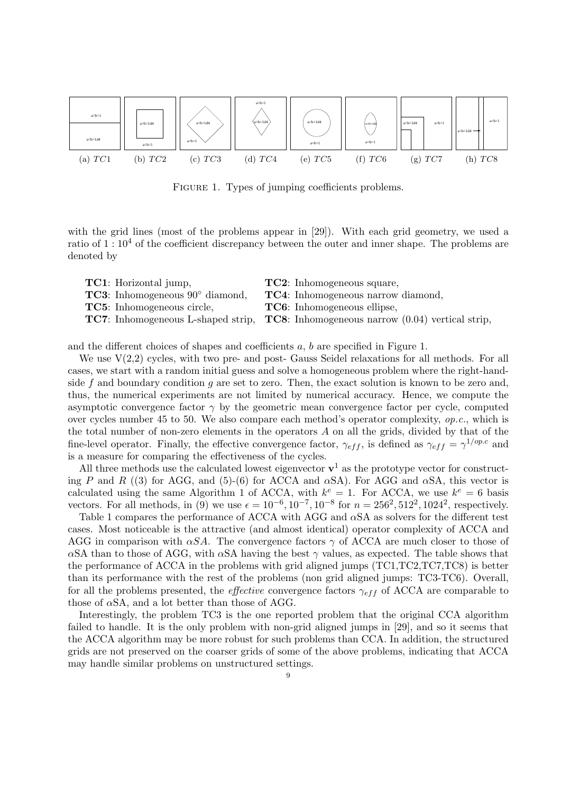

FIGURE 1. Types of jumping coefficients problems.

with the grid lines (most of the problems appear in [29]). With each grid geometry, we used a ratio of  $1:10^4$  of the coefficient discrepancy between the outer and inner shape. The problems are denoted by

| <b>TC1</b> : Horizontal jump,                    | <b>TC2</b> : Inhomogeneous square,                                                                    |
|--------------------------------------------------|-------------------------------------------------------------------------------------------------------|
| <b>TC3</b> : Inhomogeneous $90^{\circ}$ diamond, | <b>TC4</b> : Inhomogeneous narrow diamond,                                                            |
| <b>TC5</b> : Inhomogeneous circle,               | <b>TC6</b> : Inhomogeneous ellipse,                                                                   |
|                                                  | <b>TC7</b> : Inhomogeneous L-shaped strip, <b>TC8</b> : Inhomogeneous narrow $(0.04)$ vertical strip, |

and the different choices of shapes and coefficients *a*, *b* are specified in Figure 1.

We use  $V(2,2)$  cycles, with two pre- and post-Gauss Seidel relaxations for all methods. For all cases, we start with a random initial guess and solve a homogeneous problem where the right-handside *f* and boundary condition *g* are set to zero. Then, the exact solution is known to be zero and, thus, the numerical experiments are not limited by numerical accuracy. Hence, we compute the asymptotic convergence factor  $\gamma$  by the geometric mean convergence factor per cycle, computed over cycles number 45 to 50. We also compare each method's operator complexity, *op.c.*, which is the total number of non-zero elements in the operators *A* on all the grids, divided by that of the fine-level operator. Finally, the effective convergence factor,  $\gamma_{eff}$ , is defined as  $\gamma_{eff} = \gamma^{1/ope}$  and is a measure for comparing the effectiveness of the cycles.

All three methods use the calculated lowest eigenvector  $\mathbf{v}^1$  as the prototype vector for constructing *P* and *R* ((3) for AGG, and (5)-(6) for ACCA and  $\alpha SA$ ). For AGG and  $\alpha SA$ , this vector is calculated using the same Algorithm 1 of ACCA, with  $k^e = 1$ . For ACCA, we use  $k^e = 6$  basis vectors. For all methods, in (9) we use  $\epsilon = 10^{-6}, 10^{-7}, 10^{-8}$  for  $n = 256^2, 512^2, 1024^2$ , respectively.

Table 1 compares the performance of ACCA with AGG and *α*SA as solvers for the different test cases. Most noticeable is the attractive (and almost identical) operator complexity of ACCA and AGG in comparison with  $\alpha SA$ . The convergence factors  $\gamma$  of ACCA are much closer to those of *α*SA than to those of AGG, with *αSA* having the best  $\gamma$  values, as expected. The table shows that the performance of ACCA in the problems with grid aligned jumps (TC1,TC2,TC7,TC8) is better than its performance with the rest of the problems (non grid aligned jumps: TC3-TC6). Overall, for all the problems presented, the *effective* convergence factors *γef f* of ACCA are comparable to those of *α*SA, and a lot better than those of AGG.

Interestingly, the problem TC3 is the one reported problem that the original CCA algorithm failed to handle. It is the only problem with non-grid aligned jumps in [29], and so it seems that the ACCA algorithm may be more robust for such problems than CCA. In addition, the structured grids are not preserved on the coarser grids of some of the above problems, indicating that ACCA may handle similar problems on unstructured settings.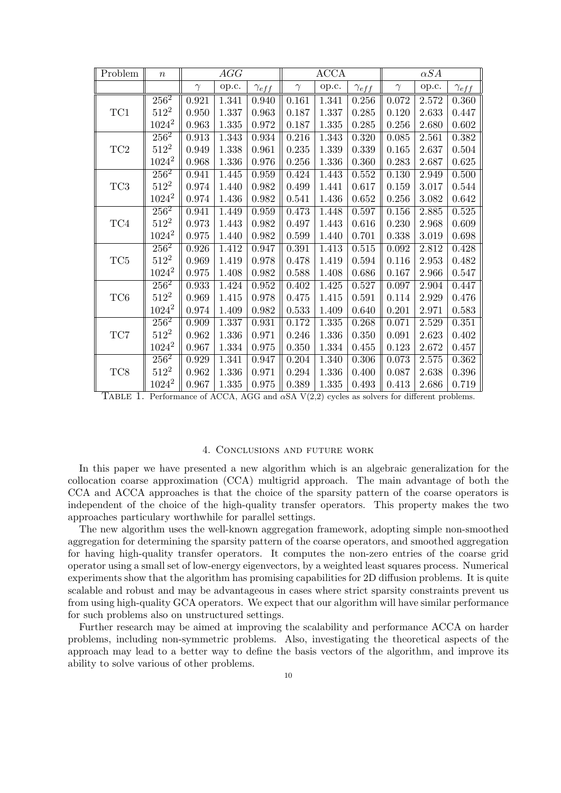| Problem         | $\boldsymbol{n}$ | AGG         |       | $\widehat{ACCA}$ |          |                     | $\alpha SA$    |          |       |                |
|-----------------|------------------|-------------|-------|------------------|----------|---------------------|----------------|----------|-------|----------------|
|                 |                  | $\gamma$    | op.c. | $\gamma_{eff}$   | $\gamma$ | op.c.               | $\gamma_{eff}$ | $\gamma$ | op.c. | $\gamma_{eff}$ |
|                 | $256^2$          | 0.921       | 1.341 | 0.940            | 0.161    | 1.341               | 0.256          | 0.072    | 2.572 | 0.360          |
| TC1             | $512^2$          | 0.950       | 1.337 | 0.963            | 0.187    | 1.337               | 0.285          | 0.120    | 2.633 | 0.447          |
|                 | $1024^2$         | 0.963       | 1.335 | 0.972            | 0.187    | 1.335               | 0.285          | 0.256    | 2.680 | 0.602          |
|                 | $256^2$          | 0.913       | 1.343 | 0.934            | 0.216    | 1.343               | 0.320          | 0.085    | 2.561 | 0.382          |
| TC2             | $512^2$          | 0.949       | 1.338 | 0.961            | 0.235    | 1.339               | 0.339          | 0.165    | 2.637 | 0.504          |
|                 | $1024^2$         | 0.968       | 1.336 | 0.976            | 0.256    | 1.336               | 0.360          | 0.283    | 2.687 | 0.625          |
|                 | $256^2$          | 0.941       | 1.445 | 0.959            | 0.424    | 1.443               | 0.552          | 0.130    | 2.949 | 0.500          |
| TC3             | $512^2$          | 0.974       | 1.440 | 0.982            | 0.499    | 1.441               | 0.617          | 0.159    | 3.017 | 0.544          |
|                 | $1024^2$         | 0.974       | 1.436 | 0.982            | 0.541    | 1.436               | 0.652          | 0.256    | 3.082 | 0.642          |
|                 | $256^2$          | 0.941       | 1.449 | 0.959            | 0.473    | 1.448               | 0.597          | 0.156    | 2.885 | 0.525          |
| TC4             | $512^2$          | 0.973       | 1.443 | 0.982            | 0.497    | 1.443               | 0.616          | 0.230    | 2.968 | 0.609          |
|                 | $1024^2$         | 0.975       | 1.440 | 0.982            | 0.599    | 1.440               | 0.701          | 0.338    | 3.019 | 0.698          |
|                 | $256^2$          | 0.926       | 1.412 | 0.947            | 0.391    | 1.413               | $0.515\,$      | 0.092    | 2.812 | 0.428          |
| $\rm TC5$       | $512^2$          | $\,0.969\,$ | 1.419 | 0.978            | 0.478    | 1.419               | 0.594          | 0.116    | 2.953 | 0.482          |
|                 | $1024^2$         | 0.975       | 1.408 | 0.982            | 0.588    | 1.408               | 0.686          | 0.167    | 2.966 | 0.547          |
|                 | $256^2$          | 0.933       | 1.424 | 0.952            | 0.402    | 1.425               | 0.527          | 0.097    | 2.904 | 0.447          |
| TC <sub>6</sub> | $512^2$          | 0.969       | 1.415 | 0.978            | 0.475    | 1.415               | 0.591          | 0.114    | 2.929 | 0.476          |
|                 | $1024^2$         | 0.974       | 1.409 | 0.982            | 0.533    | 1.409               | 0.640          | 0.201    | 2.971 | 0.583          |
|                 | $256^2$          | 0.909       | 1.337 | 0.931            | 0.172    | $\overline{1}$ .335 | 0.268          | 0.071    | 2.529 | 0.351          |
| TC7             | $512^2$          | 0.962       | 1.336 | 0.971            | 0.246    | 1.336               | 0.350          | 0.091    | 2.623 | 0.402          |
|                 | $1024^2$         | 0.967       | 1.334 | 0.975            | 0.350    | 1.334               | 0.455          | 0.123    | 2.672 | 0.457          |
|                 | $256^2$          | 0.929       | 1.341 | 0.947            | 0.204    | 1.340               | 0.306          | 0.073    | 2.575 | 0.362          |
| TC8             | $512^2$          | 0.962       | 1.336 | 0.971            | 0.294    | 1.336               | 0.400          | 0.087    | 2.638 | 0.396          |
|                 | $1024^2$         | 0.967       | 1.335 | 0.975            | 0.389    | 1.335               | 0.493          | 0.413    | 2.686 | 0.719          |

Table 1. Performance of ACCA, AGG and *<sup>α</sup>*SA V(2,2) cycles as solvers for different problems.

### 4. Conclusions and future work

In this paper we have presented a new algorithm which is an algebraic generalization for the collocation coarse approximation (CCA) multigrid approach. The main advantage of both the CCA and ACCA approaches is that the choice of the sparsity pattern of the coarse operators is independent of the choice of the high-quality transfer operators. This property makes the two approaches particulary worthwhile for parallel settings.

The new algorithm uses the well-known aggregation framework, adopting simple non-smoothed aggregation for determining the sparsity pattern of the coarse operators, and smoothed aggregation for having high-quality transfer operators. It computes the non-zero entries of the coarse grid operator using a small set of low-energy eigenvectors, by a weighted least squares process. Numerical experiments show that the algorithm has promising capabilities for 2D diffusion problems. It is quite scalable and robust and may be advantageous in cases where strict sparsity constraints prevent us from using high-quality GCA operators. We expect that our algorithm will have similar performance for such problems also on unstructured settings.

Further research may be aimed at improving the scalability and performance ACCA on harder problems, including non-symmetric problems. Also, investigating the theoretical aspects of the approach may lead to a better way to define the basis vectors of the algorithm, and improve its ability to solve various of other problems.